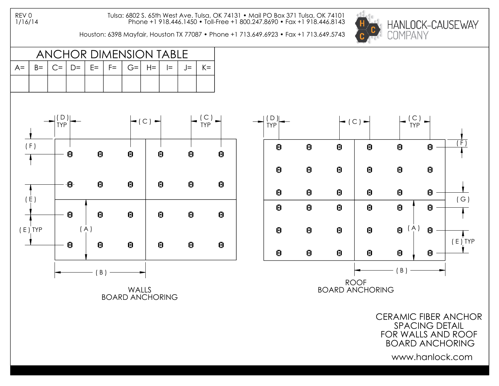Tulsa: 6802 S. 65th West Ave. Tulsa, OK 74131 • Mail PO Box 371 Tulsa, OK 74101 Phone +1 918.446.1450 • Toll-Free +1 800.247.8690 • Fax +1 918.446.8143

Houston: 6398 Mayfair, Houston TX 77087 • Phone +1 713.649.6923 • Fax +1 713.649.5743



ANCHOR DIMENSION TABLE A= | B= | C= | D= | E= | F= | G=| H=| I= | J= | K=



WALLS BOARD ANCHORING



CERAMIC FIBER ANCHOR SPACING DETAIL FOR WALLS AND ROOF BOARD ANCHORING

www.hanlock.com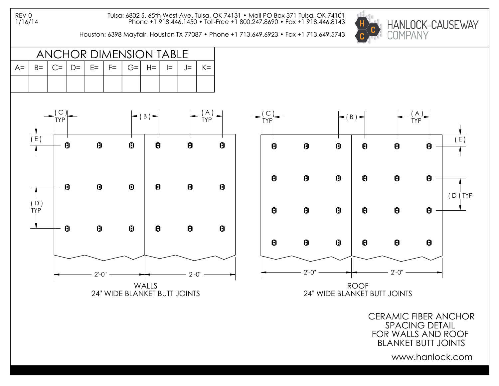Tulsa: 6802 S. 65th West Ave. Tulsa, OK 74131 • Mail PO Box 371 Tulsa, OK 74101 Phone +1 918.446.1450 • Toll-Free +1 800.247.8690 • Fax +1 918.446.8143

Houston: 6398 Mayfair, Houston TX 77087 • Phone +1 713.649.6923 • Fax +1 713.649.5743



ANCHOR DIMENSION TABLE A= | B= | C= | D= | E= | F= | G=| H=| I= | J= | K=



CERAMIC FIBER ANCHOR SPACING DETAIL FOR WALLS AND ROOF BLANKET BUTT JOINTS

www.hanlock.com

( E )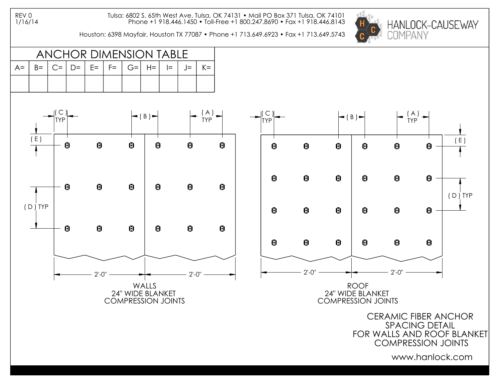Tulsa: 6802 S. 65th West Ave. Tulsa, OK 74131 • Mail PO Box 371 Tulsa, OK 74101 Phone +1 918.446.1450 • Toll-Free +1 800.247.8690 • Fax +1 918.446.8143

Houston: 6398 Mayfair, Houston TX 77087 • Phone +1 713.649.6923 • Fax +1 713.649.5743







CERAMIC FIBER ANCHOR SPACING DETAIL FOR WALLS AND ROOF BLANKET COMPRESSION JOINTS

www.hanlock.com